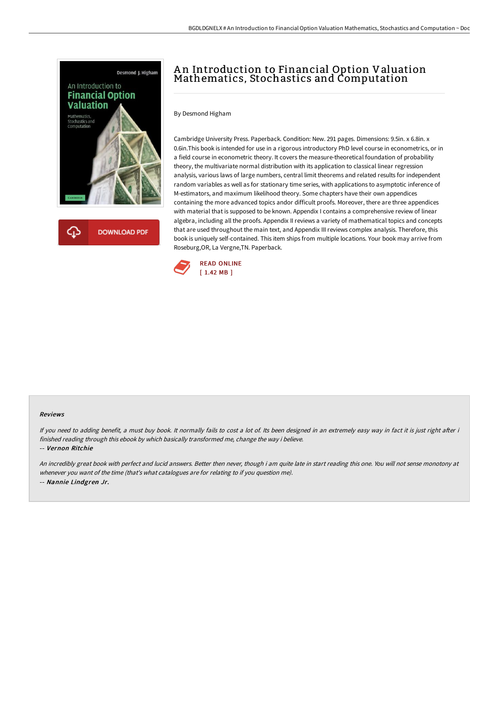

## A n Introduction to Financial Option Valuation Mathematics, Stochastics and Computation

By Desmond Higham

Cambridge University Press. Paperback. Condition: New. 291 pages. Dimensions: 9.5in. x 6.8in. x 0.6in.This book is intended for use in a rigorous introductory PhD level course in econometrics, or in a field course in econometric theory. It covers the measure-theoretical foundation of probability theory, the multivariate normal distribution with its application to classical linear regression analysis, various laws of large numbers, central limit theorems and related results for independent random variables as well as for stationary time series, with applications to asymptotic inference of M-estimators, and maximum likelihood theory. Some chapters have their own appendices containing the more advanced topics andor difficult proofs. Moreover, there are three appendices with material that is supposed to be known. Appendix I contains a comprehensive review of linear algebra, including all the proofs. Appendix II reviews a variety of mathematical topics and concepts that are used throughout the main text, and Appendix III reviews complex analysis. Therefore, this book is uniquely self-contained. This item ships from multiple locations. Your book may arrive from Roseburg,OR, La Vergne,TN. Paperback.



## Reviews

If you need to adding benefit, a must buy book. It normally fails to cost a lot of. Its been designed in an extremely easy way in fact it is just right after i finished reading through this ebook by which basically transformed me, change the way i believe.

-- Vernon Ritchie

An incredibly great book with perfect and lucid answers. Better then never, though i am quite late in start reading this one. You will not sense monotony at whenever you want of the time (that's what catalogues are for relating to if you question me). -- Nannie Lindgren Jr.